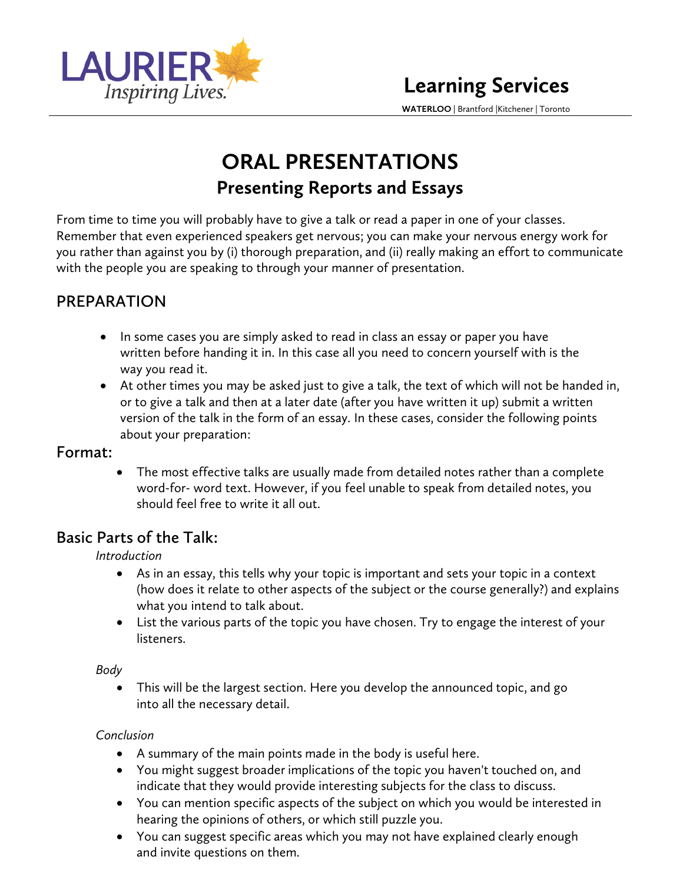

**WATERLOO** | Brantford |Kitchener | Toronto

# **ORAL PRESENTATIONS Presenting Reports and Essays**

From time to time you will probably have to give a talk or read a paper in one of your classes. Remember that even experienced speakers get nervous; you can make your nervous energy work for you rather than against you by (i) thorough preparation, and (ii) really making an effort to communicate with the people you are speaking to through your manner of presentation.

# **PREPARATION**

- In some cases you are simply asked to read in class an essay or paper you have written before handing it in. In this case all you need to concern yourself with is the way you read it.
- At other times you may be asked just to give a talk, the text of which will not be handed in, or to give a talk and then at a later date (after you have written it up) submit a written version of the talk in the form of an essay. In these cases, consider the following points about your preparation:

### **Format:**

• The most effective talks are usually made from detailed notes rather than a complete word-for- word text. However, if you feel unable to speak from detailed notes, you should feel free to write it all out.

# **Basic Parts of the Talk:**

### *Introduction*

- As in an essay, this tells why your topic is important and sets your topic in a context (how does it relate to other aspects of the subject or the course generally?) and explains what you intend to talk about.
- List the various parts of the topic you have chosen. Try to engage the interest of your listeners.

### *Body*

• This will be the largest section. Here you develop the announced topic, and go into all the necessary detail.

### *Conclusion*

- A summary of the main points made in the body is useful here.
- You might suggest broader implications of the topic you haven't touched on, and indicate that they would provide interesting subjects for the class to discuss.
- You can mention specific aspects of the subject on which you would be interested in hearing the opinions of others, or which still puzzle you.
- You can suggest specific areas which you may not have explained clearly enough and invite questions on them.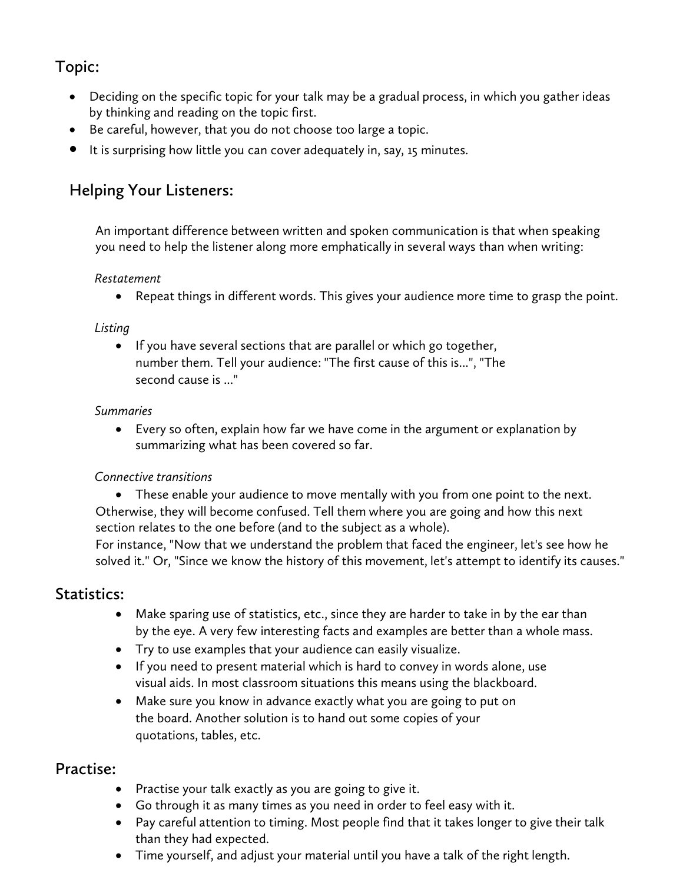# **Topic:**

- Deciding on the specific topic for your talk may be a gradual process, in which you gather ideas by thinking and reading on the topic first.
- Be careful, however, that you do not choose too large a topic.
- It is surprising how little you can cover adequately in, say, 15 minutes.

### **Helping Your Listeners:**

An important difference between written and spoken communication is that when speaking you need to help the listener along more emphatically in several ways than when writing:

#### *Restatement*

• Repeat things in different words. This gives your audience more time to grasp the point.

### *Listing*

• If you have several sections that are parallel or which go together, number them. Tell your audience: "The first cause of this is...", "The second cause is ..."

#### *Summaries*

• Every so often, explain how far we have come in the argument or explanation by summarizing what has been covered so far.

### *Connective transitions*

• These enable your audience to move mentally with you from one point to the next. Otherwise, they will become confused. Tell them where you are going and how this next section relates to the one before (and to the subject as a whole).

For instance, "Now that we understand the problem that faced the engineer, let's see how he solved it." Or, "Since we know the history of this movement, let's attempt to identify its causes."

### **Statistics:**

- Make sparing use of statistics, etc., since they are harder to take in by the ear than by the eye. A very few interesting facts and examples are better than a whole mass.
- Try to use examples that your audience can easily visualize.
- If you need to present material which is hard to convey in words alone, use visual aids. In most classroom situations this means using the blackboard.
- Make sure you know in advance exactly what you are going to put on the board. Another solution is to hand out some copies of your quotations, tables, etc.

### **Practise:**

- Practise your talk exactly as you are going to give it.
- Go through it as many times as you need in order to feel easy with it.
- Pay careful attention to timing. Most people find that it takes longer to give their talk than they had expected.
- Time yourself, and adjust your material until you have a talk of the right length.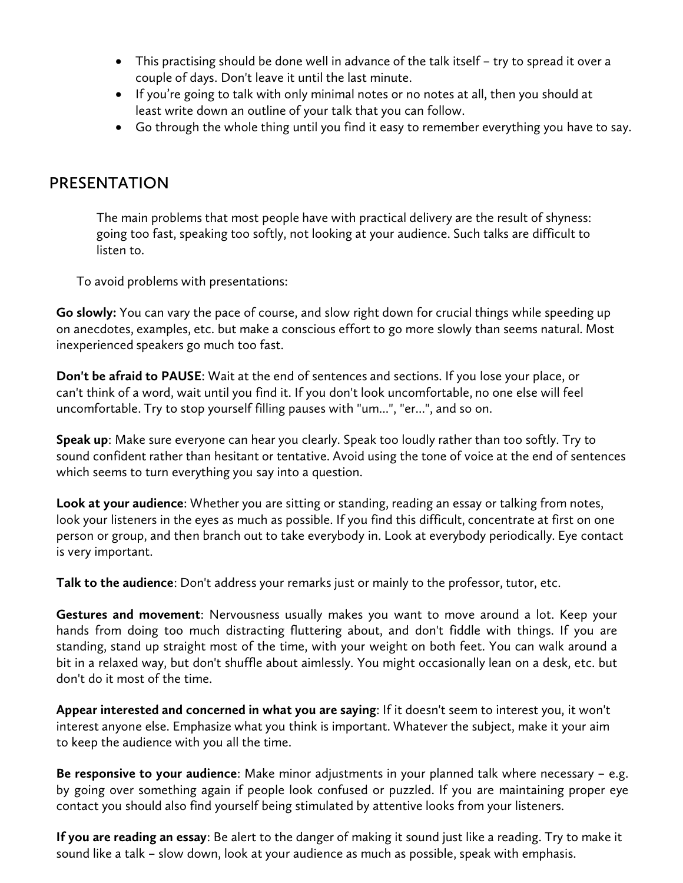- This practising should be done well in advance of the talk itself try to spread it over a couple of days. Don't leave it until the last minute.
- If you're going to talk with only minimal notes or no notes at all, then you should at least write down an outline of your talk that you can follow.
- Go through the whole thing until you find it easy to remember everything you have to say.

### **PRESENTATION**

The main problems that most people have with practical delivery are the result of shyness: going too fast, speaking too softly, not looking at your audience. Such talks are difficult to listen to.

To avoid problems with presentations:

**Go slowly:** You can vary the pace of course, and slow right down for crucial things while speeding up on anecdotes, examples, etc. but make a conscious effort to go more slowly than seems natural. Most inexperienced speakers go much too fast.

**Don't be afraid to PAUSE**: Wait at the end of sentences and sections. If you lose your place, or can't think of a word, wait until you find it. If you don't look uncomfortable, no one else will feel uncomfortable. Try to stop yourself filling pauses with "um...", "er...", and so on.

**Speak up**: Make sure everyone can hear you clearly. Speak too loudly rather than too softly. Try to sound confident rather than hesitant or tentative. Avoid using the tone of voice at the end of sentences which seems to turn everything you say into a question.

**Look at your audience**: Whether you are sitting or standing, reading an essay or talking from notes, look your listeners in the eyes as much as possible. If you find this difficult, concentrate at first on one person or group, and then branch out to take everybody in. Look at everybody periodically. Eye contact is very important.

**Talk to the audience**: Don't address your remarks just or mainly to the professor, tutor, etc.

**Gestures and movement**: Nervousness usually makes you want to move around a lot. Keep your hands from doing too much distracting fluttering about, and don't fiddle with things. If you are standing, stand up straight most of the time, with your weight on both feet. You can walk around a bit in a relaxed way, but don't shuffle about aimlessly. You might occasionally lean on a desk, etc. but don't do it most of the time.

**Appear interested and concerned in what you are saying**: If it doesn't seem to interest you, it won't interest anyone else. Emphasize what you think is important. Whatever the subject, make it your aim to keep the audience with you all the time.

**Be responsive to your audience**: Make minor adjustments in your planned talk where necessary – e.g. by going over something again if people look confused or puzzled. If you are maintaining proper eye contact you should also find yourself being stimulated by attentive looks from your listeners.

**If you are reading an essay**: Be alert to the danger of making it sound just like a reading. Try to make it sound like a talk – slow down, look at your audience as much as possible, speak with emphasis.